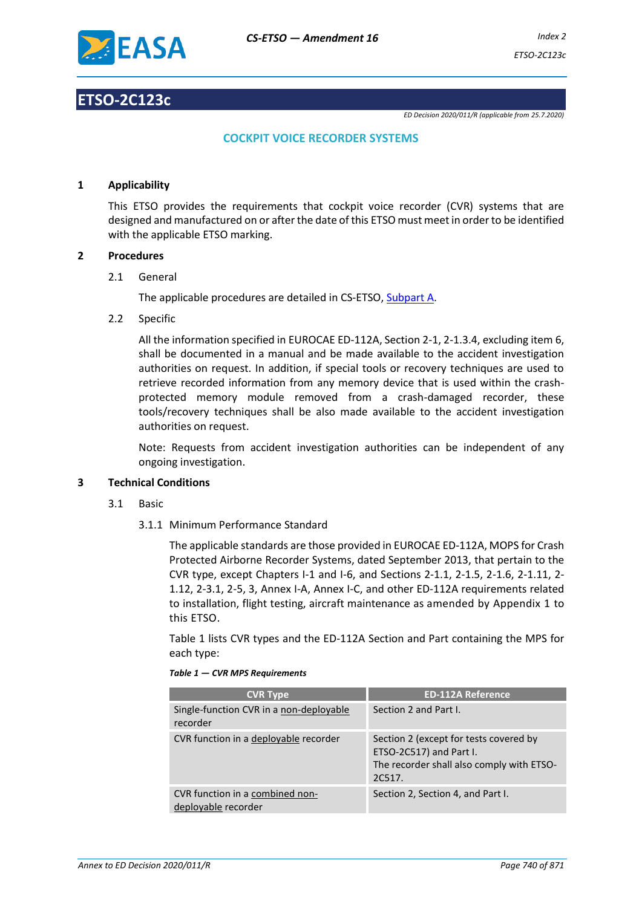

# **ETSO-2C123c**

*ED Decision 2020/011/R (applicable from 25.7.2020)*

# **COCKPIT VOICE RECORDER SYSTEMS**

# **1 Applicability**

This ETSO provides the requirements that cockpit voice recorder (CVR) systems that are designed and manufactured on or after the date of this ETSO must meet in order to be identified with the applicable ETSO marking.

# **2 Procedures**

2.1 General

The applicable procedures are detailed in CS-ETSO, Subpart A.

2.2 Specific

All the information specified in EUROCAE ED-112A, Section 2-1, 2-1.3.4, excluding item 6, shall be documented in a manual and be made available to the accident investigation authorities on request. In addition, if special tools or recovery techniques are used to retrieve recorded information from any memory device that is used within the crashprotected memory module removed from a crash-damaged recorder, these tools/recovery techniques shall be also made available to the accident investigation authorities on request.

Note: Requests from accident investigation authorities can be independent of any ongoing investigation.

#### **3 Technical Conditions**

- 3.1 Basic
	- 3.1.1 Minimum Performance Standard

The applicable standards are those provided in EUROCAE ED-112A, MOPS for Crash Protected Airborne Recorder Systems, dated September 2013, that pertain to the CVR type, except Chapters I-1 and I-6, and Sections 2-1.1, 2-1.5, 2-1.6, 2-1.11, 2- 1.12, 2-3.1, 2-5, 3, Annex I-A, Annex I-C, and other ED-112A requirements related to installation, flight testing, aircraft maintenance as amended by Appendix 1 to this ETSO.

Table 1 lists CVR types and the ED-112A Section and Part containing the MPS for each type:

| <b>CVR Type</b>                                        | <b>ED-112A Reference</b>                                                                                                 |
|--------------------------------------------------------|--------------------------------------------------------------------------------------------------------------------------|
| Single-function CVR in a non-deployable<br>recorder    | Section 2 and Part I.                                                                                                    |
| CVR function in a deployable recorder                  | Section 2 (except for tests covered by<br>ETSO-2C517) and Part I.<br>The recorder shall also comply with ETSO-<br>2C517. |
| CVR function in a combined non-<br>deployable recorder | Section 2, Section 4, and Part I.                                                                                        |

*Table 1 — CVR MPS Requirements*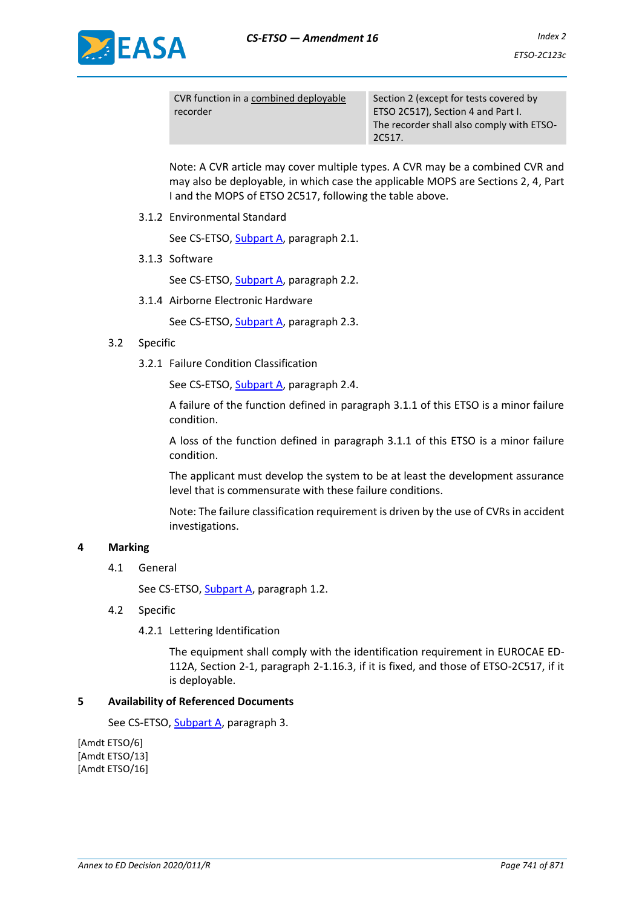



CVR function in a combined deployable recorder

Section 2 (except for tests covered by ETSO 2C517), Section 4 and Part I. The recorder shall also comply with ETSO-2C517.

Note: A CVR article may cover multiple types. A CVR may be a combined CVR and may also be deployable, in which case the applicable MOPS are Sections 2, 4, Part I and the MOPS of ETSO 2C517, following the table above.

3.1.2 Environmental Standard

See CS-ETSO, Subpart A, paragraph 2.1.

3.1.3 Software

See CS-ETSO, Subpart A, paragraph 2.2.

3.1.4 Airborne Electronic Hardware

See CS-ETSO, Subpart A, paragraph 2.3.

# 3.2 Specific

3.2.1 Failure Condition Classification

See CS-ETSO, Subpart A, paragraph 2.4.

A failure of the function defined in paragraph 3.1.1 of this ETSO is a minor failure condition.

A loss of the function defined in paragraph 3.1.1 of this ETSO is a minor failure condition.

The applicant must develop the system to be at least the development assurance level that is commensurate with these failure conditions.

Note: The failure classification requirement is driven by the use of CVRs in accident investigations.

#### **4 Marking**

4.1 General

See CS-ETSO, Subpart A, paragraph 1.2.

- 4.2 Specific
	- 4.2.1 Lettering Identification

The equipment shall comply with the identification requirement in EUROCAE ED-112A, Section 2-1, paragraph 2-1.16.3, if it is fixed, and those of ETSO-2C517, if it is deployable.

#### **5 Availability of Referenced Documents**

See CS-ETSO, Subpart A, paragraph 3.

[Amdt ETSO/6] [Amdt ETSO/13] [Amdt ETSO/16]